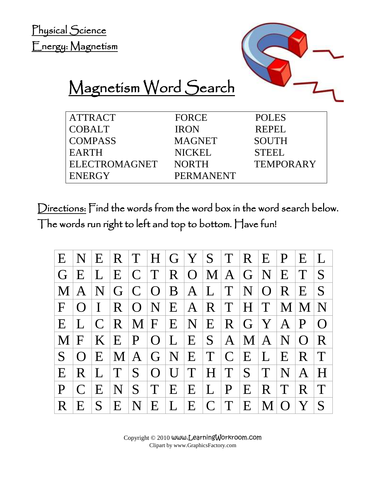Physical Science Energy: Magnetism



## Magnetism Word Search

| <b>ATTRACT</b>       | <b>FORCE</b>     | <b>POLES</b>     |
|----------------------|------------------|------------------|
| <b>COBALT</b>        | <b>IRON</b>      | REPEL            |
| <b>COMPASS</b>       | <b>MAGNET</b>    | <b>SOUTH</b>     |
| <b>EARTH</b>         | NICKEL           | <b>STEEL</b>     |
| <b>ELECTROMAGNET</b> | <b>NORTH</b>     | <b>TEMPORARY</b> |
| <b>ENERGY</b>        | <b>PERMANENT</b> |                  |
|                      |                  |                  |

Directions: Find the words from the word box in the word search below. The words run right to left and top to bottom. Have fun!

| E <sub>1</sub>  | $\mathbf{N}$ |                |                | $E$ $R$ $T$ $H$ $G$ $Y$ $S$ $T$ $R$ $E$ $P$     |   |              |                |              |                               |              |                   | E              |                |
|-----------------|--------------|----------------|----------------|-------------------------------------------------|---|--------------|----------------|--------------|-------------------------------|--------------|-------------------|----------------|----------------|
| G E             |              | L              |                | E C T R O M A G N                               |   |              |                |              |                               |              | E                 | T              |                |
| $\bf M$         | A            |                |                | $N$ G C O B A L T                               |   |              |                |              | N/O                           |              | R                 | E              | S.             |
| $F \rightarrow$ | $\Omega$     | $\mathbf{I}$ . |                | $R$   O   N   E   A   R   T   H   T             |   |              |                |              |                               |              | $\vert M \vert M$ |                | N <sub>1</sub> |
| E               |              |                |                | $C   R   M   F   E   N   E   R   G   Y   A   P$ |   |              |                |              |                               |              |                   |                |                |
| M               | $\mathbf F$  |                |                | K E P O L E S A                                 |   |              |                |              | M A                           |              | $\mathbf N$       | $\Omega$       | $\mathbf{R}$   |
| S <sub>1</sub>  | ()           |                | E M            |                                                 |   |              |                |              | A   G   N   E   T   C   E   L |              | E                 | $\overline{R}$ | $\top$         |
| E               | R            | $\mathbf{L}$   | T              |                                                 |   | $S$  O  U  T | H <sub>1</sub> |              | $T$ $S$ $T$                   |              | N                 | $\mathsf{A}$   |                |
| P               | $\Gamma$     | E              | N <sub>1</sub> | S.                                              | T | E E L        |                | $\mathbf{P}$ | E                             | R T          |                   | R.             | T              |
| R.              | E.           | S.             | E              | N <sub>1</sub>                                  | E | L E C T      |                |              | $E_{\parallel}$               | $\mathbf{M}$ | $\Omega$          | Y              |                |